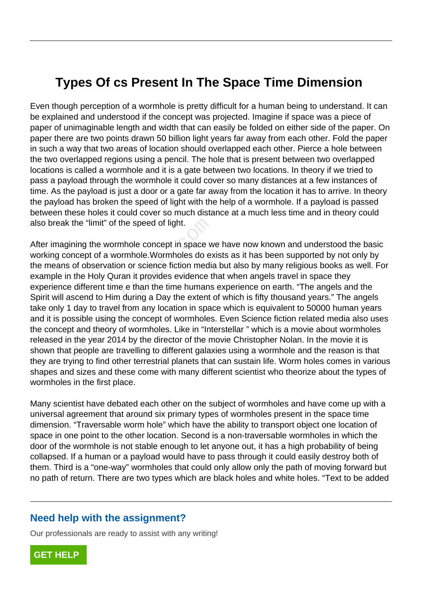## **Types Of cs Present In The Space Time Dimension**

Even though perception of a wormhole is pretty difficult for a human being to understand. It can be explained and understood if the concept was projected. Imagine if space was a piece of paper of unimaginable length and width that can easily be folded on either side of the paper. On paper there are two points drawn 50 billion light years far away from each other. Fold the paper in such a way that two areas of location should overlapped each other. Pierce a hole between the two overlapped regions using a pencil. The hole that is present between two overlapped locations is called a wormhole and it is a gate between two locations. In theory if we tried to pass a payload through the wormhole it could cover so many distances at a few instances of time. As the payload is just a door or a gate far away from the location it has to arrive. In theory the payload has broken the speed of light with the help of a wormhole. If a payload is passed between these holes it could cover so much distance at a much less time and in theory could also break the "limit" of the speed of light.

After imagining the wormhole concept in space we have now known and understood the basic working concept of a wormhole.Wormholes do exists as it has been supported by not only by the means of observation or science fiction media but also by many religious books as well. For example in the Holy Quran it provides evidence that when angels travel in space they experience different time e than the time humans experience on earth. "The angels and the Spirit will ascend to Him during a Day the extent of which is fifty thousand years." The angels take only 1 day to travel from any location in space which is equivalent to 50000 human years and it is possible using the concept of wormholes. Even Science fiction related media also uses the concept and theory of wormholes. Like in "Interstellar " which is a movie about wormholes released in the year 2014 by the director of the movie Christopher Nolan. In the movie it is shown that people are travelling to different galaxies using a wormhole and the reason is that they are trying to find other terrestrial planets that can sustain life. Worm holes comes in various shapes and sizes and these come with many different scientist who theorize about the types of wormholes in the first place. the "limit" of the speed of light.<br>
ining the wormhole concept in space w<br>
incept of a wormhole. Wormholes do except of a wormhole. Wormholes do except<br>
in the Holy Quran it provides evidence the<br>
edifferent time e than th

Many scientist have debated each other on the subject of wormholes and have come up with a universal agreement that around six primary types of wormholes present in the space time dimension. "Traversable worm hole" which have the ability to transport object one location of space in one point to the other location. Second is a non-traversable wormholes in which the door of the wormhole is not stable enough to let anyone out, it has a high probability of being collapsed. If a human or a payload would have to pass through it could easily destroy both of them. Third is a "one-way" wormholes that could only allow only the path of moving forward but no path of return. There are two types which are black holes and white holes. "Text to be added

## **Need help with the assignment?**

Our professionals are ready to assist with any writing!

**[GET HELP](https://my.gradesfixer.com/order?utm_campaign=pdf_sample)**